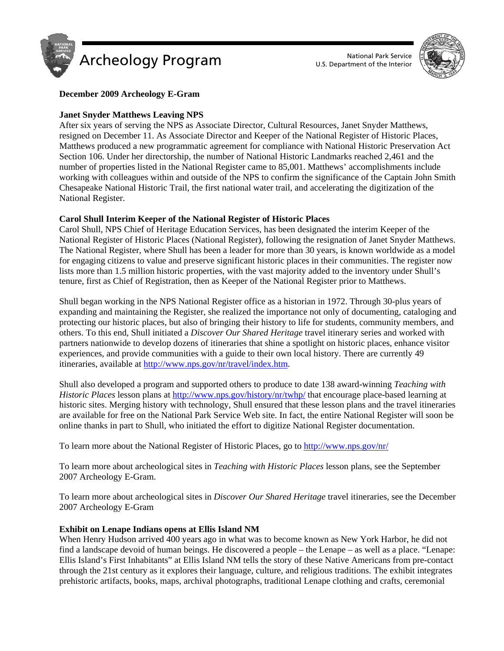



## **December 2009 Archeology E-Gram**

## **Janet Snyder Matthews Leaving NPS**

After six years of serving the NPS as Associate Director, Cultural Resources, Janet Snyder Matthews, resigned on December 11. As Associate Director and Keeper of the National Register of Historic Places, Matthews produced a new programmatic agreement for compliance with National Historic Preservation Act Section 106. Under her directorship, the number of National Historic Landmarks reached 2,461 and the number of properties listed in the National Register came to 85,001. Matthews' accomplishments include working with colleagues within and outside of the NPS to confirm the significance of the Captain John Smith Chesapeake National Historic Trail, the first national water trail, and accelerating the digitization of the National Register.

## **Carol Shull Interim Keeper of the National Register of Historic Places**

Carol Shull, NPS Chief of Heritage Education Services, has been designated the interim Keeper of the National Register of Historic Places (National Register), following the resignation of Janet Snyder Matthews. The National Register, where Shull has been a leader for more than 30 years, is known worldwide as a model for engaging citizens to value and preserve significant historic places in their communities. The register now lists more than 1.5 million historic properties, with the vast majority added to the inventory under Shull's tenure, first as Chief of Registration, then as Keeper of the National Register prior to Matthews.

Shull began working in the NPS National Register office as a historian in 1972. Through 30-plus years of expanding and maintaining the Register, she realized the importance not only of documenting, cataloging and protecting our historic places, but also of bringing their history to life for students, community members, and others. To this end, Shull initiated a *Discover Our Shared Heritage* travel itinerary series and worked with partners nationwide to develop dozens of itineraries that shine a spotlight on historic places, enhance visitor experiences, and provide communities with a guide to their own local history. There are currently 49 itineraries, available at http://www.nps.gov/nr/travel/index.htm.

Shull also developed a program and supported others to produce to date 138 award-winning *Teaching with Historic Places* lesson plans at http://www.nps.gov/history/nr/twhp/ that encourage place-based learning at historic sites. Merging history with technology, Shull ensured that these lesson plans and the travel itineraries are available for free on the National Park Service Web site. In fact, the entire National Register will soon be online thanks in part to Shull, who initiated the effort to digitize National Register documentation.

To learn more about the National Register of Historic Places, go to http://www.nps.gov/nr/

To learn more about archeological sites in *Teaching with Historic Places* lesson plans, see the September 2007 Archeology E-Gram.

To learn more about archeological sites in *Discover Our Shared Heritage* travel itineraries, see the December 2007 Archeology E-Gram

# **Exhibit on Lenape Indians opens at Ellis Island NM**

When Henry Hudson arrived 400 years ago in what was to become known as New York Harbor, he did not find a landscape devoid of human beings. He discovered a people – the Lenape – as well as a place. "Lenape: Ellis Island's First Inhabitants" at Ellis Island NM tells the story of these Native Americans from pre-contact through the 21st century as it explores their language, culture, and religious traditions. The exhibit integrates prehistoric artifacts, books, maps, archival photographs, traditional Lenape clothing and crafts, ceremonial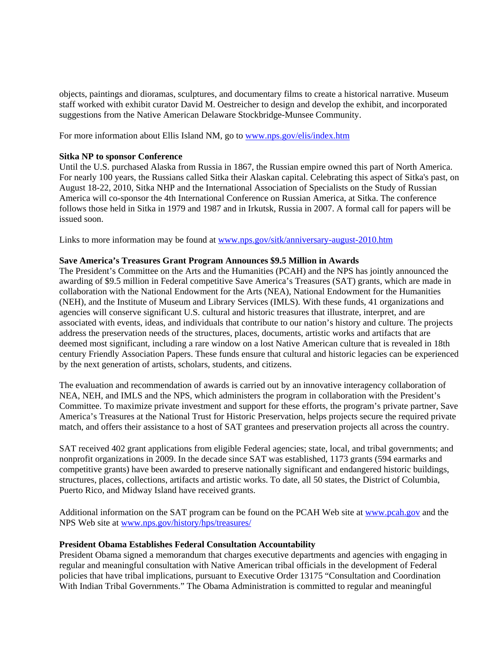objects, paintings and dioramas, sculptures, and documentary films to create a historical narrative. Museum staff worked with exhibit curator David M. Oestreicher to design and develop the exhibit, and incorporated suggestions from the Native American Delaware Stockbridge-Munsee Community.

For more information about Ellis Island NM, go to www.nps.gov/elis/index.htm

## **Sitka NP to sponsor Conference**

Until the U.S. purchased Alaska from Russia in 1867, the Russian empire owned this part of North America. For nearly 100 years, the Russians called Sitka their Alaskan capital. Celebrating this aspect of Sitka's past, on August 18-22, 2010, Sitka NHP and the International Association of Specialists on the Study of Russian America will co-sponsor the 4th International Conference on Russian America, at Sitka. The conference follows those held in Sitka in 1979 and 1987 and in Irkutsk, Russia in 2007. A formal call for papers will be issued soon.

Links to more information may be found at www.nps.gov/sitk/anniversary-august-2010.htm

## **Save America's Treasures Grant Program Announces \$9.5 Million in Awards**

The President's Committee on the Arts and the Humanities (PCAH) and the NPS has jointly announced the awarding of \$9.5 million in Federal competitive Save America's Treasures (SAT) grants, which are made in collaboration with the National Endowment for the Arts (NEA), National Endowment for the Humanities (NEH), and the Institute of Museum and Library Services (IMLS). With these funds, 41 organizations and agencies will conserve significant U.S. cultural and historic treasures that illustrate, interpret, and are associated with events, ideas, and individuals that contribute to our nation's history and culture. The projects address the preservation needs of the structures, places, documents, artistic works and artifacts that are deemed most significant, including a rare window on a lost Native American culture that is revealed in 18th century Friendly Association Papers. These funds ensure that cultural and historic legacies can be experienced by the next generation of artists, scholars, students, and citizens.

The evaluation and recommendation of awards is carried out by an innovative interagency collaboration of NEA, NEH, and IMLS and the NPS, which administers the program in collaboration with the President's Committee. To maximize private investment and support for these efforts, the program's private partner, Save America's Treasures at the National Trust for Historic Preservation, helps projects secure the required private match, and offers their assistance to a host of SAT grantees and preservation projects all across the country.

SAT received 402 grant applications from eligible Federal agencies; state, local, and tribal governments; and nonprofit organizations in 2009. In the decade since SAT was established, 1173 grants (594 earmarks and competitive grants) have been awarded to preserve nationally significant and endangered historic buildings, structures, places, collections, artifacts and artistic works. To date, all 50 states, the District of Columbia, Puerto Rico, and Midway Island have received grants.

Additional information on the SAT program can be found on the PCAH Web site at www.pcah.gov and the NPS Web site at www.nps.gov/history/hps/treasures/

#### **President Obama Establishes Federal Consultation Accountability**

President Obama signed a memorandum that charges executive departments and agencies with engaging in regular and meaningful consultation with Native American tribal officials in the development of Federal policies that have tribal implications, pursuant to Executive Order 13175 "Consultation and Coordination With Indian Tribal Governments." The Obama Administration is committed to regular and meaningful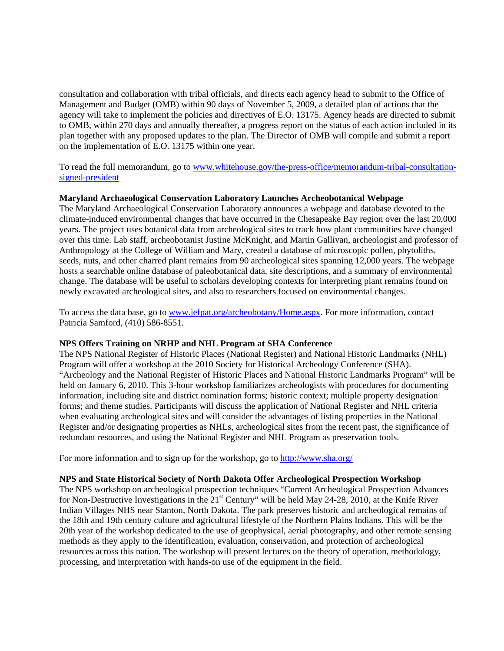consultation and collaboration with tribal officials, and directs each agency head to submit to the Office of Management and Budget (OMB) within 90 days of November 5, 2009, a detailed plan of actions that the agency will take to implement the policies and directives of E.O. 13175. Agency heads are directed to submit to OMB, within 270 days and annually thereafter, a progress report on the status of each action included in its plan together with any proposed updates to the plan. The Director of OMB will compile and submit a report on the implementation of E.O. 13175 within one year.

To read the full memorandum, go to www.whitehouse.gov/the-press-office/memorandum-tribal-consultationsigned-president

## **Maryland Archaeological Conservation Laboratory Launches Archeobotanical Webpage**

The Maryland Archaeological Conservation Laboratory announces a webpage and database devoted to the climate-induced environmental changes that have occurred in the Chesapeake Bay region over the last 20,000 years. The project uses botanical data from archeological sites to track how plant communities have changed over this time. Lab staff, archeobotanist Justine McKnight, and Martin Gallivan, archeologist and professor of Anthropology at the College of William and Mary, created a database of microscopic pollen, phytoliths, seeds, nuts, and other charred plant remains from 90 archeological sites spanning 12,000 years. The webpage hosts a searchable online database of paleobotanical data, site descriptions, and a summary of environmental change. The database will be useful to scholars developing contexts for interpreting plant remains found on newly excavated archeological sites, and also to researchers focused on environmental changes.

To access the data base, go to www.jefpat.org/archeobotany/Home.aspx. For more information, contact Patricia Samford, (410) 586-8551.

#### **NPS Offers Training on NRHP and NHL Program at SHA Conference**

The NPS National Register of Historic Places (National Register) and National Historic Landmarks (NHL) Program will offer a workshop at the 2010 Society for Historical Archeology Conference (SHA). "Archeology and the National Register of Historic Places and National Historic Landmarks Program" will be held on January 6, 2010. This 3-hour workshop familiarizes archeologists with procedures for documenting information, including site and district nomination forms; historic context; multiple property designation forms; and theme studies. Participants will discuss the application of National Register and NHL criteria when evaluating archeological sites and will consider the advantages of listing properties in the National Register and/or designating properties as NHLs, archeological sites from the recent past, the significance of redundant resources, and using the National Register and NHL Program as preservation tools.

For more information and to sign up for the workshop, go to http://www.sha.org/

### **NPS and State Historical Society of North Dakota Offer Archeological Prospection Workshop**

The NPS workshop on archeological prospection techniques "Current Archeological Prospection Advances for Non-Destructive Investigations in the  $21<sup>st</sup>$  Century" will be held May 24-28, 2010, at the Knife River Indian Villages NHS near Stanton, North Dakota. The park preserves historic and archeological remains of the 18th and 19th century culture and agricultural lifestyle of the Northern Plains Indians. This will be the 20th year of the workshop dedicated to the use of geophysical, aerial photography, and other remote sensing methods as they apply to the identification, evaluation, conservation, and protection of archeological resources across this nation. The workshop will present lectures on the theory of operation, methodology, processing, and interpretation with hands-on use of the equipment in the field.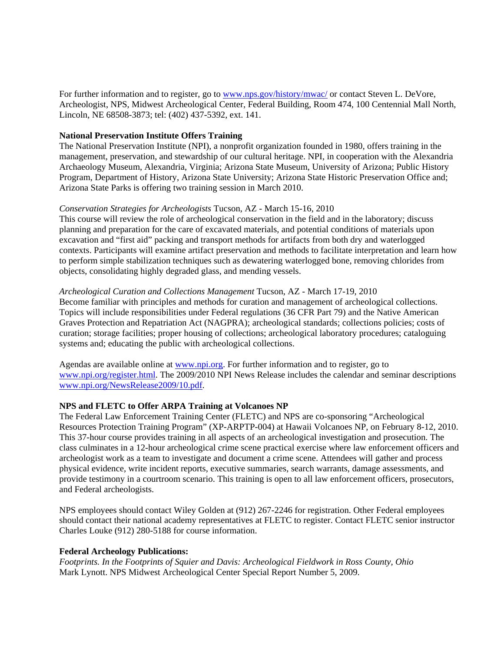For further information and to register, go to www.nps.gov/history/mwac/ or contact Steven L. DeVore, Archeologist, NPS, Midwest Archeological Center, Federal Building, Room 474, 100 Centennial Mall North, Lincoln, NE 68508-3873; tel: (402) 437-5392, ext. 141.

## **National Preservation Institute Offers Training**

The National Preservation Institute (NPI), a nonprofit organization founded in 1980, offers training in the management, preservation, and stewardship of our cultural heritage. NPI, in cooperation with the Alexandria Archaeology Museum, Alexandria, Virginia; Arizona State Museum, University of Arizona; Public History Program, Department of History, Arizona State University; Arizona State Historic Preservation Office and; Arizona State Parks is offering two training session in March 2010.

## *Conservation Strategies for Archeologists* Tucson, AZ - March 15-16, 2010

This course will review the role of archeological conservation in the field and in the laboratory; discuss planning and preparation for the care of excavated materials, and potential conditions of materials upon excavation and "first aid" packing and transport methods for artifacts from both dry and waterlogged contexts. Participants will examine artifact preservation and methods to facilitate interpretation and learn how to perform simple stabilization techniques such as dewatering waterlogged bone, removing chlorides from objects, consolidating highly degraded glass, and mending vessels.

## *Archeological Curation and Collections Management* Tucson, AZ - March 17-19, 2010

Become familiar with principles and methods for curation and management of archeological collections. Topics will include responsibilities under Federal regulations (36 CFR Part 79) and the Native American Graves Protection and Repatriation Act (NAGPRA); archeological standards; collections policies; costs of curation; storage facilities; proper housing of collections; archeological laboratory procedures; cataloguing systems and; educating the public with archeological collections.

Agendas are available online at www.npi.org. For further information and to register, go to www.npi.org/register.html. The 2009/2010 NPI News Release includes the calendar and seminar descriptions www.npi.org/NewsRelease2009/10.pdf.

# **NPS and FLETC to Offer ARPA Training at Volcanoes NP**

The Federal Law Enforcement Training Center (FLETC) and NPS are co-sponsoring "Archeological Resources Protection Training Program" (XP-ARPTP-004) at Hawaii Volcanoes NP, on February 8-12, 2010. This 37-hour course provides training in all aspects of an archeological investigation and prosecution. The class culminates in a 12-hour archeological crime scene practical exercise where law enforcement officers and archeologist work as a team to investigate and document a crime scene. Attendees will gather and process physical evidence, write incident reports, executive summaries, search warrants, damage assessments, and provide testimony in a courtroom scenario. This training is open to all law enforcement officers, prosecutors, and Federal archeologists.

NPS employees should contact Wiley Golden at (912) 267-2246 for registration. Other Federal employees should contact their national academy representatives at FLETC to register. Contact FLETC senior instructor Charles Louke (912) 280-5188 for course information.

## **Federal Archeology Publications:**

*Footprints. In the Footprints of Squier and Davis: Archeological Fieldwork in Ross County, Ohio* Mark Lynott. NPS Midwest Archeological Center Special Report Number 5, 2009.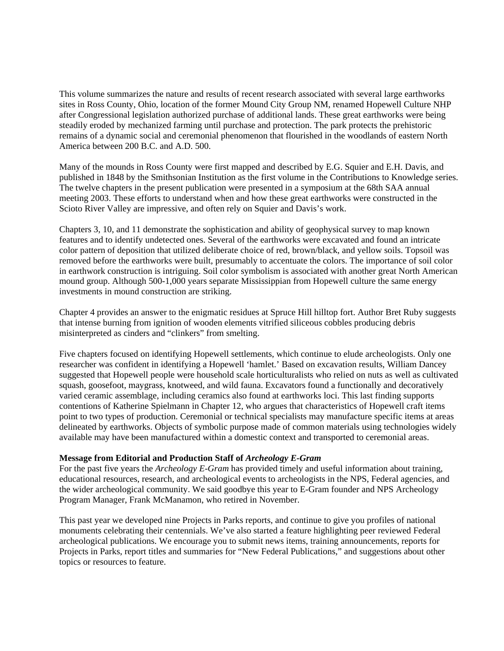This volume summarizes the nature and results of recent research associated with several large earthworks sites in Ross County, Ohio, location of the former Mound City Group NM, renamed Hopewell Culture NHP after Congressional legislation authorized purchase of additional lands. These great earthworks were being steadily eroded by mechanized farming until purchase and protection. The park protects the prehistoric remains of a dynamic social and ceremonial phenomenon that flourished in the woodlands of eastern North America between 200 B.C. and A.D. 500.

Many of the mounds in Ross County were first mapped and described by E.G. Squier and E.H. Davis, and published in 1848 by the Smithsonian Institution as the first volume in the Contributions to Knowledge series. The twelve chapters in the present publication were presented in a symposium at the 68th SAA annual meeting 2003. These efforts to understand when and how these great earthworks were constructed in the Scioto River Valley are impressive, and often rely on Squier and Davis's work.

Chapters 3, 10, and 11 demonstrate the sophistication and ability of geophysical survey to map known features and to identify undetected ones. Several of the earthworks were excavated and found an intricate color pattern of deposition that utilized deliberate choice of red, brown/black, and yellow soils. Topsoil was removed before the earthworks were built, presumably to accentuate the colors. The importance of soil color in earthwork construction is intriguing. Soil color symbolism is associated with another great North American mound group. Although 500-1,000 years separate Mississippian from Hopewell culture the same energy investments in mound construction are striking.

Chapter 4 provides an answer to the enigmatic residues at Spruce Hill hilltop fort. Author Bret Ruby suggests that intense burning from ignition of wooden elements vitrified siliceous cobbles producing debris misinterpreted as cinders and "clinkers" from smelting.

Five chapters focused on identifying Hopewell settlements, which continue to elude archeologists. Only one researcher was confident in identifying a Hopewell 'hamlet.' Based on excavation results, William Dancey suggested that Hopewell people were household scale horticulturalists who relied on nuts as well as cultivated squash, goosefoot, maygrass, knotweed, and wild fauna. Excavators found a functionally and decoratively varied ceramic assemblage, including ceramics also found at earthworks loci. This last finding supports contentions of Katherine Spielmann in Chapter 12, who argues that characteristics of Hopewell craft items point to two types of production. Ceremonial or technical specialists may manufacture specific items at areas delineated by earthworks. Objects of symbolic purpose made of common materials using technologies widely available may have been manufactured within a domestic context and transported to ceremonial areas.

# **Message from Editorial and Production Staff of** *Archeology E-Gram*

For the past five years the *Archeology E-Gram* has provided timely and useful information about training, educational resources, research, and archeological events to archeologists in the NPS, Federal agencies, and the wider archeological community. We said goodbye this year to E-Gram founder and NPS Archeology Program Manager, Frank McManamon, who retired in November.

This past year we developed nine Projects in Parks reports, and continue to give you profiles of national monuments celebrating their centennials. We've also started a feature highlighting peer reviewed Federal archeological publications. We encourage you to submit news items, training announcements, reports for Projects in Parks, report titles and summaries for "New Federal Publications," and suggestions about other topics or resources to feature.